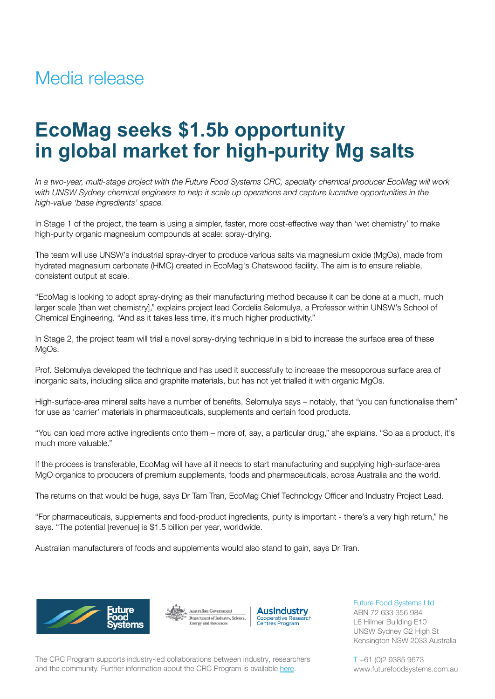## Media release

# **EcoMag seeks \$1.5b opportunity in global market for high-purity Mg salts**

In a two-year, multi-stage project with the Future Food Systems CRC, specialty chemical producer EcoMag will work with UNSW Sydney chemical engineers to help it scale up operations and capture lucrative opportunities in the *high-value 'base ingredients' space.*

In Stage 1 of the project, the team is using a simpler, faster, more cost-effective way than 'wet chemistry' to make high-purity organic magnesium compounds at scale: spray-drying.

The team will use UNSW's industrial spray-dryer to produce various salts via magnesium oxide (MgOs), made from hydrated magnesium carbonate (HMC) created in EcoMag's Chatswood facility. The aim is to ensure reliable, consistent output at scale.

"EcoMag is looking to adopt spray-drying as their manufacturing method because it can be done at a much, much larger scale [than wet chemistry]," explains project lead Cordelia Selomulya, a Professor within UNSW's School of Chemical Engineering. "And as it takes less time, it's much higher productivity."

In Stage 2, the project team will trial a novel spray-drying technique in a bid to increase the surface area of these MgOs.

Prof. Selomulya developed the technique and has used it successfully to increase the mesoporous surface area of inorganic salts, including silica and graphite materials, but has not yet trialled it with organic MgOs.

High-surface-area mineral salts have a number of benefits, Selomulya says – notably, that "you can functionalise them" for use as 'carrier' materials in pharmaceuticals, supplements and certain food products.

"You can load more active ingredients onto them – more of, say, a particular drug," she explains. "So as a product, it's much more valuable."

If the process is transferable, EcoMag will have all it needs to start manufacturing and supplying high-surface-area MgO organics to producers of premium supplements, foods and pharmaceuticals, across Australia and the world.

The returns on that would be huge, says Dr Tam Tran, EcoMag Chief Technology Officer and Industry Project Lead.

"For pharmaceuticals, supplements and food-product ingredients, purity is important - there's a very high return," he says. "The potential [revenue] is \$1.5 billion per year, worldwide.

Australian manufacturers of foods and supplements would also stand to gain, says Dr Tran.







Future Food Systems Ltd ABN 72 633 356 984 L6 Hilmer Building E10 UNSW Sydney G2 High St Kensington NSW 2033 Australia

The CRC Program supports industry-led collaborations between industry, researchers and the community. Further information about the CRC Program is available [here](https://www.business.gov.au/SearchResult?query=cooperativeresearchcentresprogramme&type=1).

T +61 (0)2 9385 9673 www.futurefoodsystems.com.au